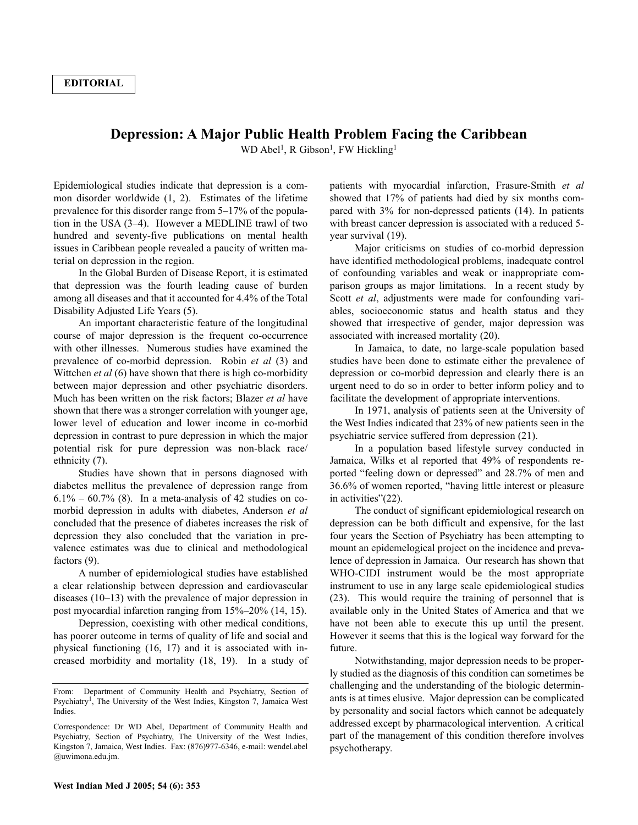## **Depression: A Major Public Health Problem Facing the Caribbean**

WD Abel<sup>1</sup>, R Gibson<sup>1</sup>, FW Hickling<sup>1</sup>

Epidemiological studies indicate that depression is a common disorder worldwide (1, 2). Estimates of the lifetime prevalence for this disorder range from 5–17% of the population in the USA (3–4). However a MEDLINE trawl of two hundred and seventy-five publications on mental health issues in Caribbean people revealed a paucity of written material on depression in the region.

In the Global Burden of Disease Report, it is estimated that depression was the fourth leading cause of burden among all diseases and that it accounted for 4.4% of the Total Disability Adjusted Life Years (5).

An important characteristic feature of the longitudinal course of major depression is the frequent co-occurrence with other illnesses. Numerous studies have examined the prevalence of co-morbid depression. Robin *et al* (3) and Wittchen *et al* (6) have shown that there is high co-morbidity between major depression and other psychiatric disorders. Much has been written on the risk factors; Blazer *et al* have shown that there was a stronger correlation with younger age, lower level of education and lower income in co-morbid depression in contrast to pure depression in which the major potential risk for pure depression was non-black race/ ethnicity (7).

Studies have shown that in persons diagnosed with diabetes mellitus the prevalence of depression range from  $6.1\% - 60.7\%$  (8). In a meta-analysis of 42 studies on comorbid depression in adults with diabetes, Anderson *et al* concluded that the presence of diabetes increases the risk of depression they also concluded that the variation in prevalence estimates was due to clinical and methodological factors (9).

A number of epidemiological studies have established a clear relationship between depression and cardiovascular diseases (10–13) with the prevalence of major depression in post myocardial infarction ranging from 15%–20% (14, 15).

Depression, coexisting with other medical conditions, has poorer outcome in terms of quality of life and social and physical functioning (16, 17) and it is associated with increased morbidity and mortality (18, 19). In a study of patients with myocardial infarction, Frasure-Smith *et al* showed that 17% of patients had died by six months compared with 3% for non-depressed patients (14). In patients with breast cancer depression is associated with a reduced 5 year survival (19).

Major criticisms on studies of co-morbid depression have identified methodological problems, inadequate control of confounding variables and weak or inappropriate comparison groups as major limitations. In a recent study by Scott *et al*, adjustments were made for confounding variables, socioeconomic status and health status and they showed that irrespective of gender, major depression was associated with increased mortality (20).

In Jamaica, to date, no large-scale population based studies have been done to estimate either the prevalence of depression or co-morbid depression and clearly there is an urgent need to do so in order to better inform policy and to facilitate the development of appropriate interventions.

In 1971, analysis of patients seen at the University of the West Indies indicated that 23% of new patients seen in the psychiatric service suffered from depression (21).

In a population based lifestyle survey conducted in Jamaica, Wilks et al reported that 49% of respondents reported "feeling down or depressed" and 28.7% of men and 36.6% of women reported, "having little interest or pleasure in activities"(22).

The conduct of significant epidemiological research on depression can be both difficult and expensive, for the last four years the Section of Psychiatry has been attempting to mount an epidemelogical project on the incidence and prevalence of depression in Jamaica. Our research has shown that WHO-CIDI instrument would be the most appropriate instrument to use in any large scale epidemiological studies (23). This would require the training of personnel that is available only in the United States of America and that we have not been able to execute this up until the present. However it seems that this is the logical way forward for the future.

Notwithstanding, major depression needs to be properly studied as the diagnosis of this condition can sometimes be challenging and the understanding of the biologic determinants is at times elusive. Major depression can be complicated by personality and social factors which cannot be adequately addressed except by pharmacological intervention. A critical part of the management of this condition therefore involves psychotherapy.

From: Department of Community Health and Psychiatry, Section of Psychiatry<sup>1</sup>, The University of the West Indies, Kingston 7, Jamaica West Indies.

Correspondence: Dr WD Abel, Department of Community Health and Psychiatry, Section of Psychiatry, The University of the West Indies, Kingston 7, Jamaica, West Indies. Fax: (876)977-6346, e-mail: wendel.abel @uwimona.edu.jm.